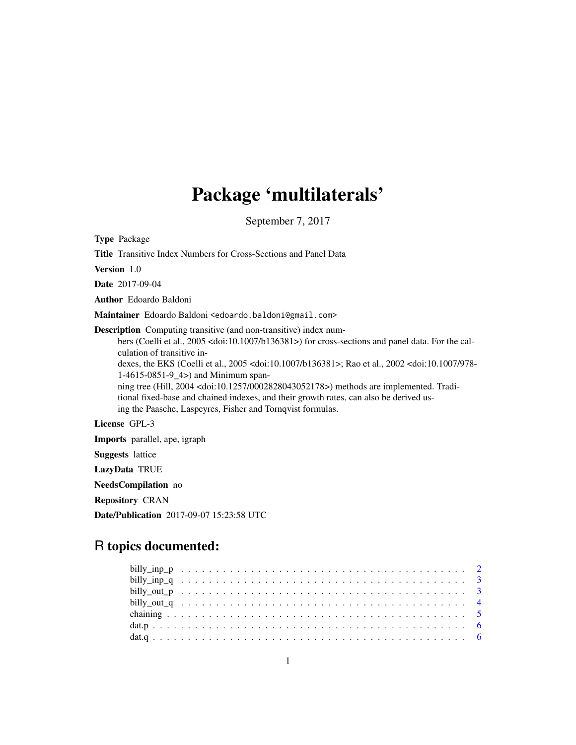# Package 'multilaterals'

September 7, 2017

Type Package Title Transitive Index Numbers for Cross-Sections and Panel Data Version 1.0 Date 2017-09-04 Author Edoardo Baldoni Maintainer Edoardo Baldoni <edoardo.baldoni@gmail.com> Description Computing transitive (and non-transitive) index numbers (Coelli et al., 2005 <doi:10.1007/b136381>) for cross-sections and panel data. For the calculation of transitive indexes, the EKS (Coelli et al., 2005 <doi:10.1007/b136381>; Rao et al., 2002 <doi:10.1007/978- 1-4615-0851-9\_4>) and Minimum spanning tree (Hill, 2004 <doi:10.1257/0002828043052178>) methods are implemented. Traditional fixed-base and chained indexes, and their growth rates, can also be derived using the Paasche, Laspeyres, Fisher and Tornqvist formulas. License GPL-3 Imports parallel, ape, igraph Suggests lattice

LazyData TRUE

NeedsCompilation no

Repository CRAN

Date/Publication 2017-09-07 15:23:58 UTC

## R topics documented: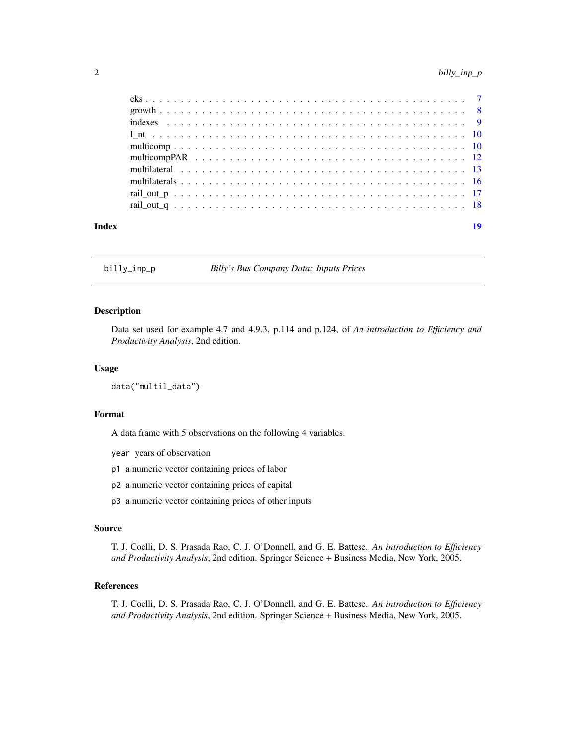<span id="page-1-0"></span>

| Index | 19 |
|-------|----|
|       |    |
|       |    |
|       |    |
|       |    |
|       |    |
|       |    |
|       |    |
|       |    |
|       |    |
|       |    |
|       |    |

billy\_inp\_p *Billy's Bus Company Data: Inputs Prices*

### Description

Data set used for example 4.7 and 4.9.3, p.114 and p.124, of *An introduction to Efficiency and Productivity Analysis*, 2nd edition.

### Usage

```
data("multil_data")
```
### Format

A data frame with 5 observations on the following 4 variables.

year years of observation

- p1 a numeric vector containing prices of labor
- p2 a numeric vector containing prices of capital
- p3 a numeric vector containing prices of other inputs

#### Source

T. J. Coelli, D. S. Prasada Rao, C. J. O'Donnell, and G. E. Battese. *An introduction to Efficiency and Productivity Analysis*, 2nd edition. Springer Science + Business Media, New York, 2005.

### References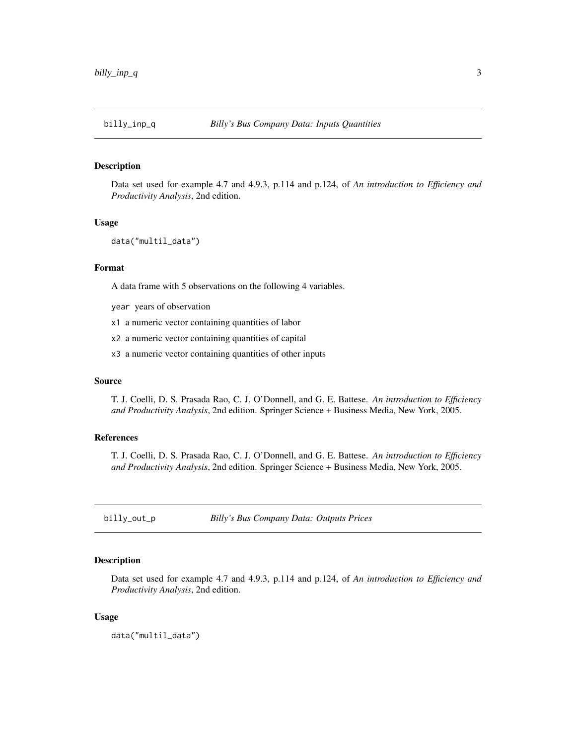<span id="page-2-0"></span>

Data set used for example 4.7 and 4.9.3, p.114 and p.124, of *An introduction to Efficiency and Productivity Analysis*, 2nd edition.

### Usage

```
data("multil_data")
```
### Format

A data frame with 5 observations on the following 4 variables.

year years of observation

- x1 a numeric vector containing quantities of labor
- x2 a numeric vector containing quantities of capital
- x3 a numeric vector containing quantities of other inputs

#### Source

T. J. Coelli, D. S. Prasada Rao, C. J. O'Donnell, and G. E. Battese. *An introduction to Efficiency and Productivity Analysis*, 2nd edition. Springer Science + Business Media, New York, 2005.

### References

T. J. Coelli, D. S. Prasada Rao, C. J. O'Donnell, and G. E. Battese. *An introduction to Efficiency and Productivity Analysis*, 2nd edition. Springer Science + Business Media, New York, 2005.

billy\_out\_p *Billy's Bus Company Data: Outputs Prices*

### Description

Data set used for example 4.7 and 4.9.3, p.114 and p.124, of *An introduction to Efficiency and Productivity Analysis*, 2nd edition.

### Usage

data("multil\_data")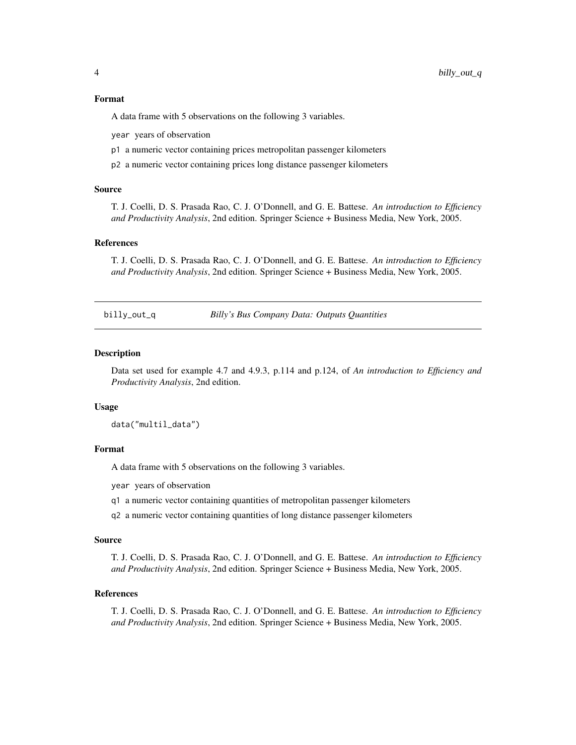### <span id="page-3-0"></span>Format

A data frame with 5 observations on the following 3 variables.

year years of observation

- p1 a numeric vector containing prices metropolitan passenger kilometers
- p2 a numeric vector containing prices long distance passenger kilometers

### Source

T. J. Coelli, D. S. Prasada Rao, C. J. O'Donnell, and G. E. Battese. *An introduction to Efficiency and Productivity Analysis*, 2nd edition. Springer Science + Business Media, New York, 2005.

### References

T. J. Coelli, D. S. Prasada Rao, C. J. O'Donnell, and G. E. Battese. *An introduction to Efficiency and Productivity Analysis*, 2nd edition. Springer Science + Business Media, New York, 2005.

billy\_out\_q *Billy's Bus Company Data: Outputs Quantities*

#### **Description**

Data set used for example 4.7 and 4.9.3, p.114 and p.124, of *An introduction to Efficiency and Productivity Analysis*, 2nd edition.

#### Usage

data("multil\_data")

#### Format

A data frame with 5 observations on the following 3 variables.

year years of observation

- q1 a numeric vector containing quantities of metropolitan passenger kilometers
- q2 a numeric vector containing quantities of long distance passenger kilometers

#### Source

T. J. Coelli, D. S. Prasada Rao, C. J. O'Donnell, and G. E. Battese. *An introduction to Efficiency and Productivity Analysis*, 2nd edition. Springer Science + Business Media, New York, 2005.

#### References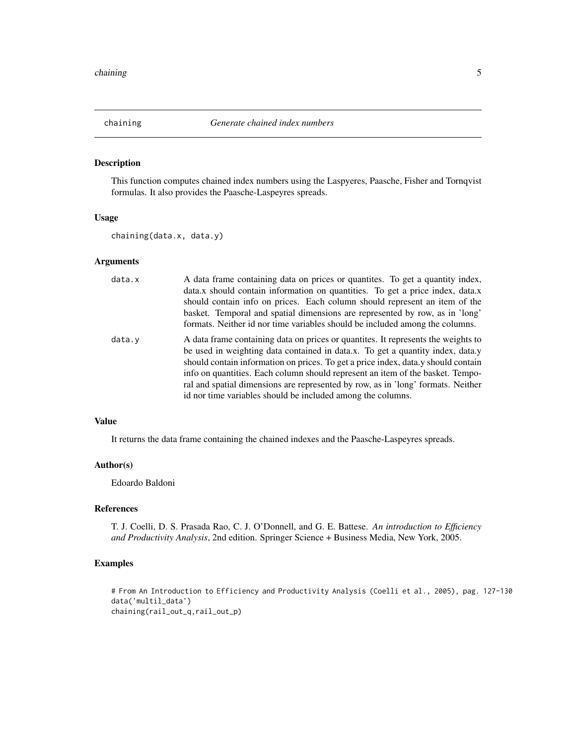<span id="page-4-0"></span>

This function computes chained index numbers using the Laspyeres, Paasche, Fisher and Tornqvist formulas. It also provides the Paasche-Laspeyres spreads.

#### Usage

chaining(data.x, data.y)

### Arguments

| data.x | A data frame containing data on prices or quantities. To get a quantity index,     |
|--------|------------------------------------------------------------------------------------|
|        | data.x should contain information on quantities. To get a price index, data.x      |
|        | should contain info on prices. Each column should represent an item of the         |
|        | basket. Temporal and spatial dimensions are represented by row, as in 'long'       |
|        | formats. Neither id nor time variables should be included among the columns.       |
| data.y | A data frame containing data on prices or quantities. It represents the weights to |
|        | be used in weighting data contained in data.x. To get a quantity index, data.y     |
|        | should contain information on prices. To get a price index, data y should contain  |
|        | info on quantities. Each column should represent an item of the basket. Tempo-     |
|        | ral and spatial dimensions are represented by row, as in 'long' formats. Neither   |
|        | id nor time variables should be included among the columns.                        |

### Value

It returns the data frame containing the chained indexes and the Paasche-Laspeyres spreads.

### Author(s)

Edoardo Baldoni

#### References

T. J. Coelli, D. S. Prasada Rao, C. J. O'Donnell, and G. E. Battese. *An introduction to Efficiency and Productivity Analysis*, 2nd edition. Springer Science + Business Media, New York, 2005.

### Examples

# From An Introduction to Efficiency and Productivity Analysis (Coelli et al., 2005), pag. 127-130 data('multil\_data') chaining(rail\_out\_q,rail\_out\_p)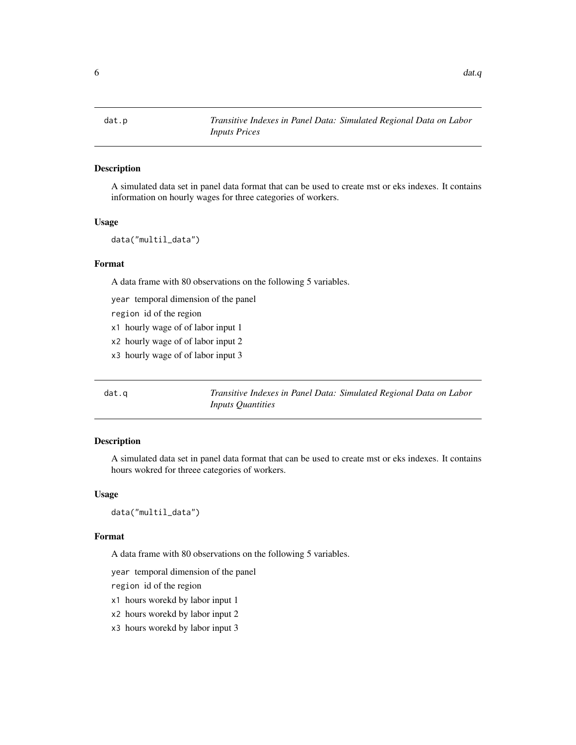<span id="page-5-0"></span>

A simulated data set in panel data format that can be used to create mst or eks indexes. It contains information on hourly wages for three categories of workers.

### Usage

data("multil\_data")

### Format

A data frame with 80 observations on the following 5 variables.

year temporal dimension of the panel

region id of the region

- x1 hourly wage of of labor input 1
- x2 hourly wage of of labor input 2
- x3 hourly wage of of labor input 3

dat.q *Transitive Indexes in Panel Data: Simulated Regional Data on Labor Inputs Quantities*

### Description

A simulated data set in panel data format that can be used to create mst or eks indexes. It contains hours wokred for threee categories of workers.

#### Usage

data("multil\_data")

#### Format

A data frame with 80 observations on the following 5 variables.

year temporal dimension of the panel

region id of the region

x1 hours worekd by labor input 1

x2 hours worekd by labor input 2

x3 hours worekd by labor input 3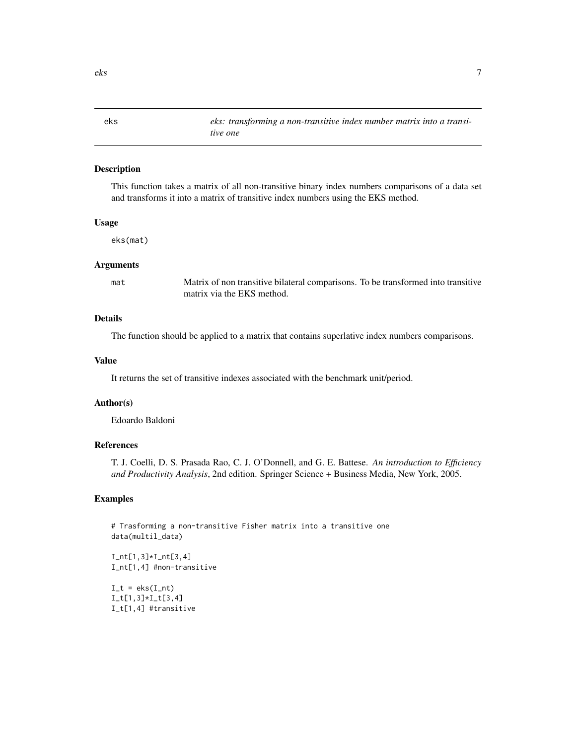<span id="page-6-0"></span>eks *eks: transforming a non-transitive index number matrix into a transitive one*

### Description

This function takes a matrix of all non-transitive binary index numbers comparisons of a data set and transforms it into a matrix of transitive index numbers using the EKS method.

#### Usage

eks(mat)

#### Arguments

mat Matrix of non transitive bilateral comparisons. To be transformed into transitive matrix via the EKS method.

### Details

The function should be applied to a matrix that contains superlative index numbers comparisons.

### Value

It returns the set of transitive indexes associated with the benchmark unit/period.

### Author(s)

Edoardo Baldoni

### References

T. J. Coelli, D. S. Prasada Rao, C. J. O'Donnell, and G. E. Battese. *An introduction to Efficiency and Productivity Analysis*, 2nd edition. Springer Science + Business Media, New York, 2005.

### Examples

```
# Trasforming a non-transitive Fisher matrix into a transitive one
data(multil_data)
```
 $I_n[t[1,3]*I_n[t[3,4]$ I\_nt[1,4] #non-transitive

 $I_t = eks(I_nt)$ I\_t[1,3]\*I\_t[3,4] I\_t[1,4] #transitive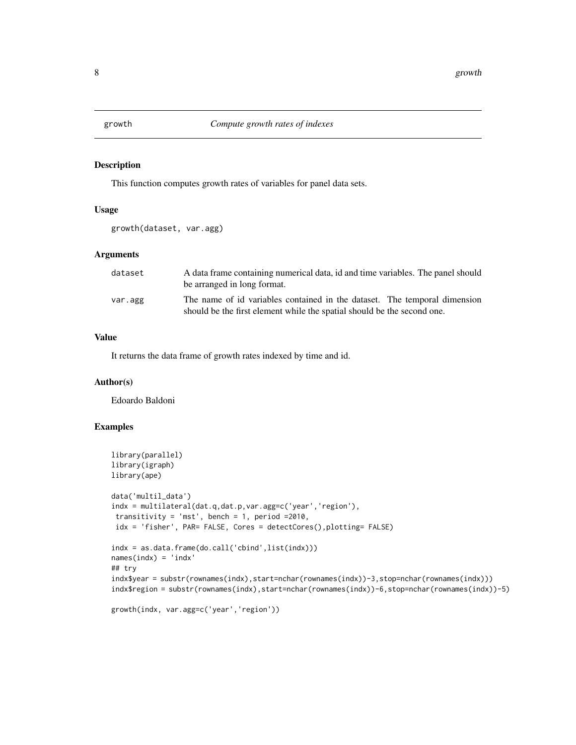<span id="page-7-0"></span>

This function computes growth rates of variables for panel data sets.

### Usage

```
growth(dataset, var.agg)
```
### Arguments

| dataset | A data frame containing numerical data, id and time variables. The panel should<br>be arranged in long format.                                       |
|---------|------------------------------------------------------------------------------------------------------------------------------------------------------|
| var.agg | The name of id variables contained in the dataset. The temporal dimension<br>should be the first element while the spatial should be the second one. |

#### Value

It returns the data frame of growth rates indexed by time and id.

### Author(s)

Edoardo Baldoni

### Examples

```
library(parallel)
library(igraph)
library(ape)
data('multil_data')
indx = multilateral(dat.q,dat.p,var.agg=c('year','region'),
 transitivity = 'mst', bench = 1, period =2010,
 idx = 'fisher', PAR= FALSE, Cores = detectCores(),plotting= FALSE)
indx = as.data.frame(do.call('cbind',list(indx)))
names(indx) = 'indx'
## try
indx$year = substr(rownames(indx),start=nchar(rownames(indx))-3,stop=nchar(rownames(indx)))
indx$region = substr(rownames(indx),start=nchar(rownames(indx))-6,stop=nchar(rownames(indx))-5)
```

```
growth(indx, var.agg=c('year','region'))
```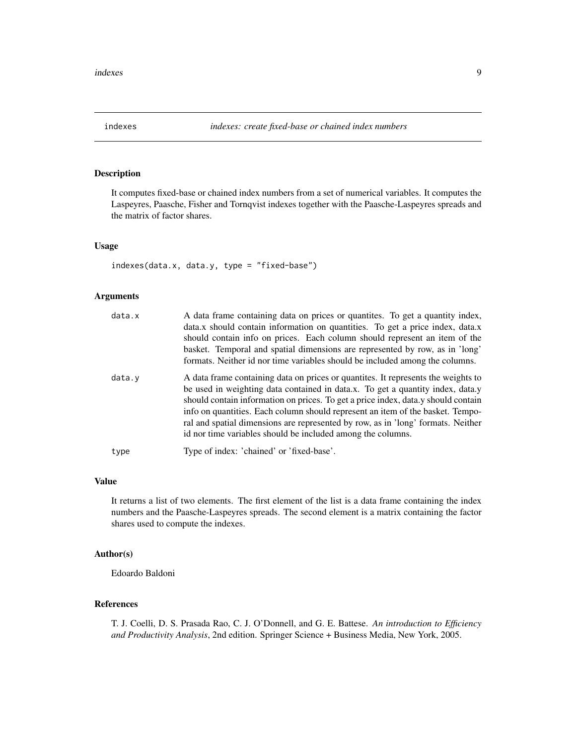<span id="page-8-0"></span>

It computes fixed-base or chained index numbers from a set of numerical variables. It computes the Laspeyres, Paasche, Fisher and Tornqvist indexes together with the Paasche-Laspeyres spreads and the matrix of factor shares.

### Usage

indexes(data.x, data.y, type = "fixed-base")

### Arguments

| A data frame containing data on prices or quantites. To get a quantity index,      |
|------------------------------------------------------------------------------------|
| data.x should contain information on quantities. To get a price index, data.x      |
| should contain info on prices. Each column should represent an item of the         |
| basket. Temporal and spatial dimensions are represented by row, as in 'long'       |
| formats. Neither id nor time variables should be included among the columns.       |
| A data frame containing data on prices or quantities. It represents the weights to |
| be used in weighting data contained in data.x. To get a quantity index, data.y     |
| should contain information on prices. To get a price index, data y should contain  |
| info on quantities. Each column should represent an item of the basket. Tempo-     |
| ral and spatial dimensions are represented by row, as in 'long' formats. Neither   |
| id nor time variables should be included among the columns.                        |
| Type of index: 'chained' or 'fixed-base'.                                          |
|                                                                                    |

### Value

It returns a list of two elements. The first element of the list is a data frame containing the index numbers and the Paasche-Laspeyres spreads. The second element is a matrix containing the factor shares used to compute the indexes.

### Author(s)

Edoardo Baldoni

### References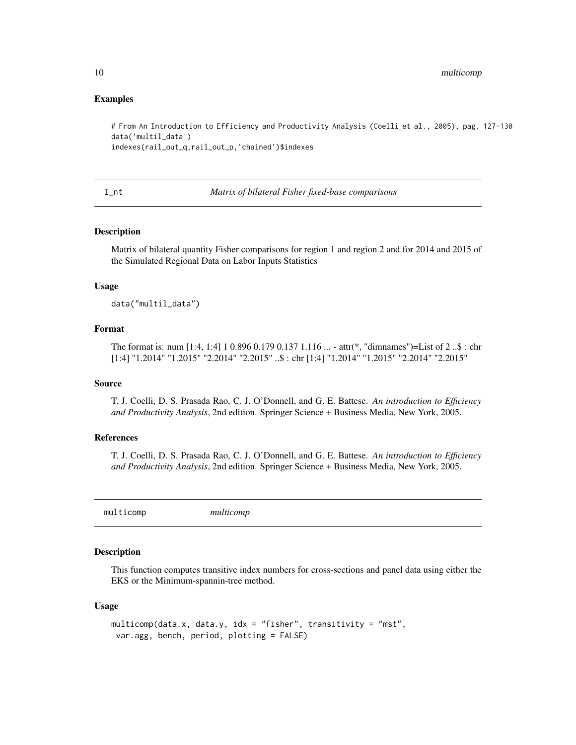### Examples

```
# From An Introduction to Efficiency and Productivity Analysis (Coelli et al., 2005), pag. 127-130
data('multil_data')
indexes(rail_out_q,rail_out_p,'chained')$indexes
```
## I\_nt *Matrix of bilateral Fisher fixed-base comparisons*

### Description

Matrix of bilateral quantity Fisher comparisons for region 1 and region 2 and for 2014 and 2015 of the Simulated Regional Data on Labor Inputs Statistics

### Usage

data("multil\_data")

### Format

The format is: num [1:4, 1:4] 1 0.896 0.179 0.137 1.116 ... - attr(\*, "dimnames")=List of 2 ..\$ : chr [1:4] "1.2014" "1.2015" "2.2014" "2.2015" ..\$ : chr [1:4] "1.2014" "1.2015" "2.2014" "2.2015"

### Source

T. J. Coelli, D. S. Prasada Rao, C. J. O'Donnell, and G. E. Battese. *An introduction to Efficiency and Productivity Analysis*, 2nd edition. Springer Science + Business Media, New York, 2005.

#### References

T. J. Coelli, D. S. Prasada Rao, C. J. O'Donnell, and G. E. Battese. *An introduction to Efficiency and Productivity Analysis*, 2nd edition. Springer Science + Business Media, New York, 2005.

multicomp *multicomp*

### Description

This function computes transitive index numbers for cross-sections and panel data using either the EKS or the Minimum-spannin-tree method.

### Usage

```
multicomp(data.x, data.y, idx = "fisher", transitivity = "mst",
var.agg, bench, period, plotting = FALSE)
```
<span id="page-9-0"></span>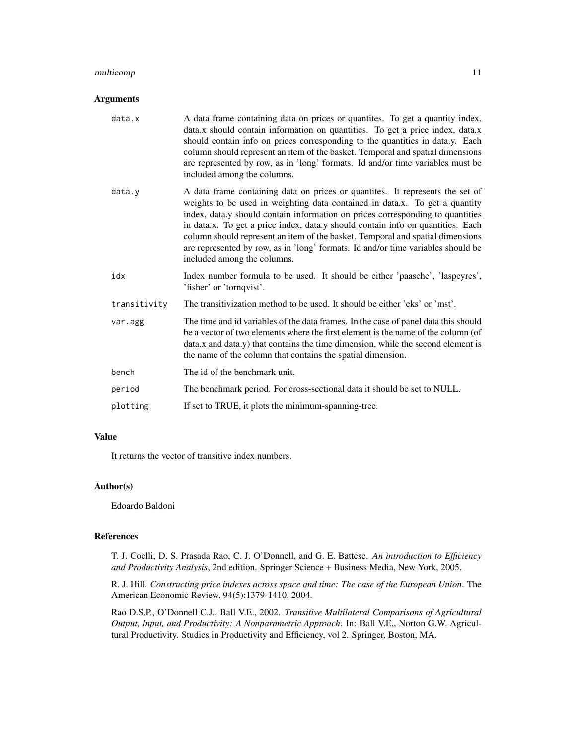### multicomp 11

### Arguments

| data.x       | A data frame containing data on prices or quantites. To get a quantity index,<br>data.x should contain information on quantities. To get a price index, data.x<br>should contain info on prices corresponding to the quantities in data.y. Each<br>column should represent an item of the basket. Temporal and spatial dimensions<br>are represented by row, as in 'long' formats. Id and/or time variables must be<br>included among the columns.                                                                                     |
|--------------|----------------------------------------------------------------------------------------------------------------------------------------------------------------------------------------------------------------------------------------------------------------------------------------------------------------------------------------------------------------------------------------------------------------------------------------------------------------------------------------------------------------------------------------|
| data.y       | A data frame containing data on prices or quantites. It represents the set of<br>weights to be used in weighting data contained in data.x. To get a quantity<br>index, data.y should contain information on prices corresponding to quantities<br>in data.x. To get a price index, data.y should contain info on quantities. Each<br>column should represent an item of the basket. Temporal and spatial dimensions<br>are represented by row, as in 'long' formats. Id and/or time variables should be<br>included among the columns. |
| idx          | Index number formula to be used. It should be either 'paasche', 'laspeyres',<br>'fisher' or 'tornqvist'.                                                                                                                                                                                                                                                                                                                                                                                                                               |
| transitivity | The transitivization method to be used. It should be either 'eks' or 'mst'.                                                                                                                                                                                                                                                                                                                                                                                                                                                            |
| var.agg      | The time and id variables of the data frames. In the case of panel data this should<br>be a vector of two elements where the first element is the name of the column (of<br>data.x and data.y) that contains the time dimension, while the second element is<br>the name of the column that contains the spatial dimension.                                                                                                                                                                                                            |
| bench        | The id of the benchmark unit.                                                                                                                                                                                                                                                                                                                                                                                                                                                                                                          |
| period       | The benchmark period. For cross-sectional data it should be set to NULL.                                                                                                                                                                                                                                                                                                                                                                                                                                                               |
| plotting     | If set to TRUE, it plots the minimum-spanning-tree.                                                                                                                                                                                                                                                                                                                                                                                                                                                                                    |

### Value

It returns the vector of transitive index numbers.

### Author(s)

Edoardo Baldoni

#### References

T. J. Coelli, D. S. Prasada Rao, C. J. O'Donnell, and G. E. Battese. *An introduction to Efficiency and Productivity Analysis*, 2nd edition. Springer Science + Business Media, New York, 2005.

R. J. Hill. *Constructing price indexes across space and time: The case of the European Union*. The American Economic Review, 94(5):1379-1410, 2004.

Rao D.S.P., O'Donnell C.J., Ball V.E., 2002. *Transitive Multilateral Comparisons of Agricultural Output, Input, and Productivity: A Nonparametric Approach*. In: Ball V.E., Norton G.W. Agricultural Productivity. Studies in Productivity and Efficiency, vol 2. Springer, Boston, MA.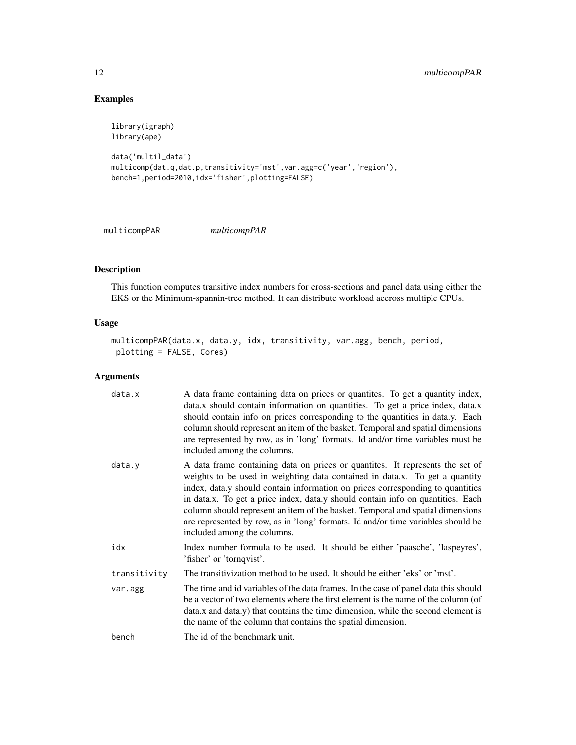### Examples

```
library(igraph)
library(ape)
data('multil_data')
multicomp(dat.q,dat.p,transitivity='mst',var.agg=c('year','region'),
bench=1,period=2010,idx='fisher',plotting=FALSE)
```
multicompPAR *multicompPAR*

### Description

This function computes transitive index numbers for cross-sections and panel data using either the EKS or the Minimum-spannin-tree method. It can distribute workload accross multiple CPUs.

### Usage

```
multicompPAR(data.x, data.y, idx, transitivity, var.agg, bench, period,
plotting = FALSE, Cores)
```
### Arguments

| data.x       | A data frame containing data on prices or quantites. To get a quantity index,<br>data.x should contain information on quantities. To get a price index, data.x<br>should contain info on prices corresponding to the quantities in data.y. Each<br>column should represent an item of the basket. Temporal and spatial dimensions<br>are represented by row, as in 'long' formats. Id and/or time variables must be<br>included among the columns.                                                                                     |
|--------------|----------------------------------------------------------------------------------------------------------------------------------------------------------------------------------------------------------------------------------------------------------------------------------------------------------------------------------------------------------------------------------------------------------------------------------------------------------------------------------------------------------------------------------------|
| data.y       | A data frame containing data on prices or quantites. It represents the set of<br>weights to be used in weighting data contained in data.x. To get a quantity<br>index, data.y should contain information on prices corresponding to quantities<br>in data.x. To get a price index, data.y should contain info on quantities. Each<br>column should represent an item of the basket. Temporal and spatial dimensions<br>are represented by row, as in 'long' formats. Id and/or time variables should be<br>included among the columns. |
| idx          | Index number formula to be used. It should be either 'paasche', 'laspeyres',<br>'fisher' or 'tornqvist'.                                                                                                                                                                                                                                                                                                                                                                                                                               |
| transitivity | The transitivization method to be used. It should be either 'eks' or 'mst'.                                                                                                                                                                                                                                                                                                                                                                                                                                                            |
| var.agg      | The time and id variables of the data frames. In the case of panel data this should<br>be a vector of two elements where the first element is the name of the column (of<br>data.x and data.y) that contains the time dimension, while the second element is<br>the name of the column that contains the spatial dimension.                                                                                                                                                                                                            |
| bench        | The id of the benchmark unit.                                                                                                                                                                                                                                                                                                                                                                                                                                                                                                          |

<span id="page-11-0"></span>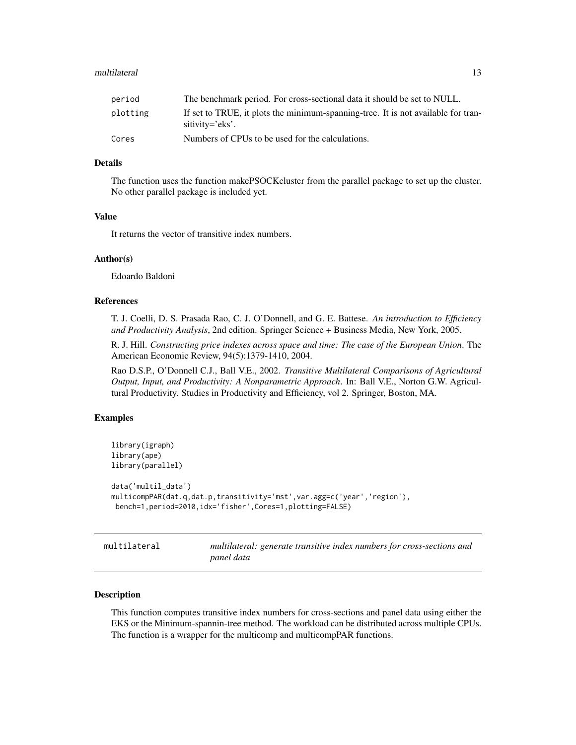#### <span id="page-12-0"></span>multilateral the control of the control of the control of the control of the control of the control of the control of the control of the control of the control of the control of the control of the control of the control of

| period   | The benchmark period. For cross-sectional data it should be set to NULL.                             |
|----------|------------------------------------------------------------------------------------------------------|
| plotting | If set to TRUE, it plots the minimum-spanning-tree. It is not available for tran-<br>sitivity='eks'. |
| Cores    | Numbers of CPUs to be used for the calculations.                                                     |

### Details

The function uses the function makePSOCKcluster from the parallel package to set up the cluster. No other parallel package is included yet.

### Value

It returns the vector of transitive index numbers.

#### Author(s)

Edoardo Baldoni

### References

T. J. Coelli, D. S. Prasada Rao, C. J. O'Donnell, and G. E. Battese. *An introduction to Efficiency and Productivity Analysis*, 2nd edition. Springer Science + Business Media, New York, 2005.

R. J. Hill. *Constructing price indexes across space and time: The case of the European Union*. The American Economic Review, 94(5):1379-1410, 2004.

Rao D.S.P., O'Donnell C.J., Ball V.E., 2002. *Transitive Multilateral Comparisons of Agricultural Output, Input, and Productivity: A Nonparametric Approach*. In: Ball V.E., Norton G.W. Agricultural Productivity. Studies in Productivity and Efficiency, vol 2. Springer, Boston, MA.

### Examples

```
library(igraph)
library(ape)
library(parallel)
data('multil_data')
multicompPAR(dat.q,dat.p,transitivity='mst',var.agg=c('year','region'),
bench=1,period=2010,idx='fisher',Cores=1,plotting=FALSE)
```
multilateral *multilateral: generate transitive index numbers for cross-sections and panel data*

#### Description

This function computes transitive index numbers for cross-sections and panel data using either the EKS or the Minimum-spannin-tree method. The workload can be distributed across multiple CPUs. The function is a wrapper for the multicomp and multicompPAR functions.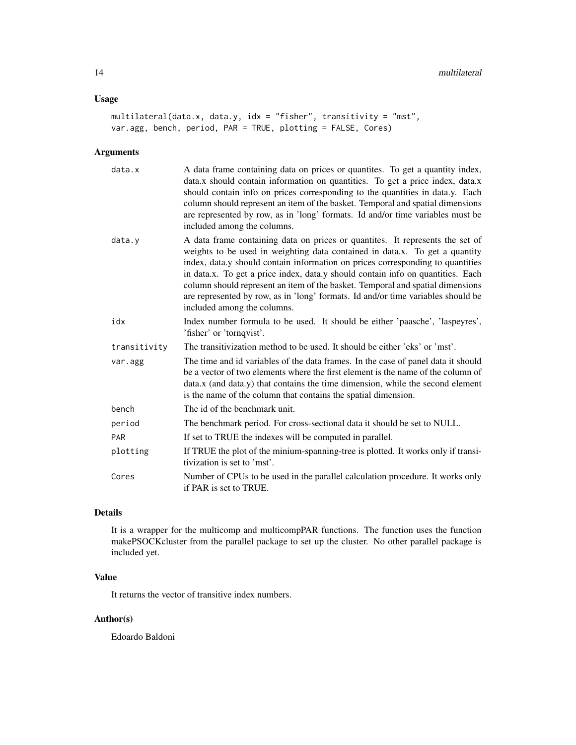### Usage

```
multilateral(data.x, data.y, idx = "fisher", transitivity = "mst",
var.agg, bench, period, PAR = TRUE, plotting = FALSE, Cores)
```
### Arguments

| data.x       | A data frame containing data on prices or quantites. To get a quantity index,<br>data.x should contain information on quantities. To get a price index, data.x<br>should contain info on prices corresponding to the quantities in data.y. Each<br>column should represent an item of the basket. Temporal and spatial dimensions<br>are represented by row, as in 'long' formats. Id and/or time variables must be<br>included among the columns.                                                                                      |
|--------------|-----------------------------------------------------------------------------------------------------------------------------------------------------------------------------------------------------------------------------------------------------------------------------------------------------------------------------------------------------------------------------------------------------------------------------------------------------------------------------------------------------------------------------------------|
| data.y       | A data frame containing data on prices or quantities. It represents the set of<br>weights to be used in weighting data contained in data.x. To get a quantity<br>index, data.y should contain information on prices corresponding to quantities<br>in data.x. To get a price index, data.y should contain info on quantities. Each<br>column should represent an item of the basket. Temporal and spatial dimensions<br>are represented by row, as in 'long' formats. Id and/or time variables should be<br>included among the columns. |
| idx          | Index number formula to be used. It should be either 'paasche', 'laspeyres',<br>'fisher' or 'tornqvist'.                                                                                                                                                                                                                                                                                                                                                                                                                                |
| transitivity | The transitivization method to be used. It should be either 'eks' or 'mst'.                                                                                                                                                                                                                                                                                                                                                                                                                                                             |
| var.agg      | The time and id variables of the data frames. In the case of panel data it should<br>be a vector of two elements where the first element is the name of the column of<br>data.x (and data.y) that contains the time dimension, while the second element<br>is the name of the column that contains the spatial dimension.                                                                                                                                                                                                               |
| bench        | The id of the benchmark unit.                                                                                                                                                                                                                                                                                                                                                                                                                                                                                                           |
| period       | The benchmark period. For cross-sectional data it should be set to NULL.                                                                                                                                                                                                                                                                                                                                                                                                                                                                |
| <b>PAR</b>   | If set to TRUE the indexes will be computed in parallel.                                                                                                                                                                                                                                                                                                                                                                                                                                                                                |
| plotting     | If TRUE the plot of the minium-spanning-tree is plotted. It works only if transi-<br>tivization is set to 'mst'.                                                                                                                                                                                                                                                                                                                                                                                                                        |
| Cores        | Number of CPUs to be used in the parallel calculation procedure. It works only<br>if PAR is set to TRUE.                                                                                                                                                                                                                                                                                                                                                                                                                                |

### Details

It is a wrapper for the multicomp and multicompPAR functions. The function uses the function makePSOCKcluster from the parallel package to set up the cluster. No other parallel package is included yet.

### Value

It returns the vector of transitive index numbers.

### Author(s)

Edoardo Baldoni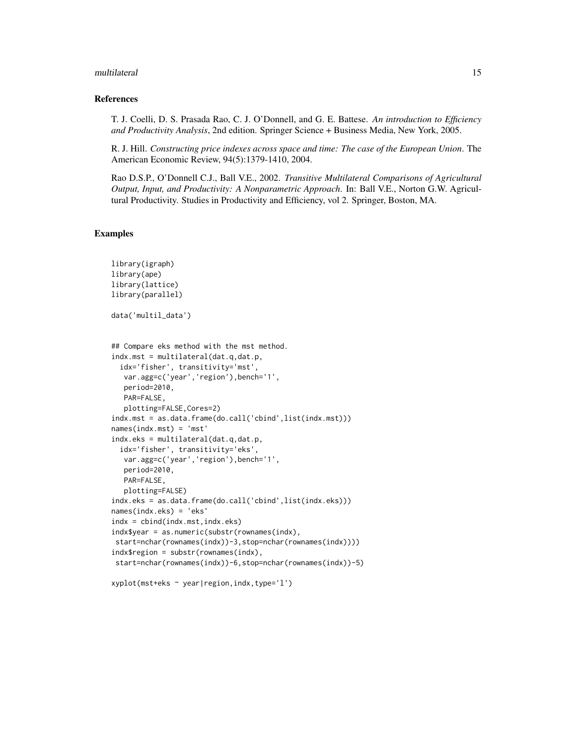#### multilateral the control of the control of the control of the control of the control of the control of the control of the control of the control of the control of the control of the control of the control of the control of

### References

T. J. Coelli, D. S. Prasada Rao, C. J. O'Donnell, and G. E. Battese. *An introduction to Efficiency and Productivity Analysis*, 2nd edition. Springer Science + Business Media, New York, 2005.

R. J. Hill. *Constructing price indexes across space and time: The case of the European Union*. The American Economic Review, 94(5):1379-1410, 2004.

Rao D.S.P., O'Donnell C.J., Ball V.E., 2002. *Transitive Multilateral Comparisons of Agricultural Output, Input, and Productivity: A Nonparametric Approach*. In: Ball V.E., Norton G.W. Agricultural Productivity. Studies in Productivity and Efficiency, vol 2. Springer, Boston, MA.

### Examples

```
library(igraph)
library(ape)
library(lattice)
library(parallel)
data('multil_data')
## Compare eks method with the mst method.
indx.mst = multilateral(dat.q,dat.p,
 idx='fisher', transitivity='mst',
  var.agg=c('year','region'),bench='1',
  period=2010,
  PAR=FALSE,
  plotting=FALSE,Cores=2)
indx.mst = as.data.frame(do.call('cbind',list(indx.mst)))
names(indx.mst) = 'mst'
indx.eks = multilateral(dat.q,dat.p,
 idx='fisher', transitivity='eks',
  var.agg=c('year','region'),bench='1',
  period=2010,
  PAR=FALSE,
  plotting=FALSE)
indx.eks = as.data.frame(do.call('cbind',list(indx.eks)))
names(indx.eks) = 'eks'
indx = cbind(indx.mst,indx.eks)
indx$year = as.numeric(substr(rownames(indx),
start=nchar(rownames(indx))-3,stop=nchar(rownames(indx))))
indx$region = substr(rownames(indx),
start=nchar(rownames(indx))-6,stop=nchar(rownames(indx))-5)
```
xyplot(mst+eks ~ year|region,indx,type='l')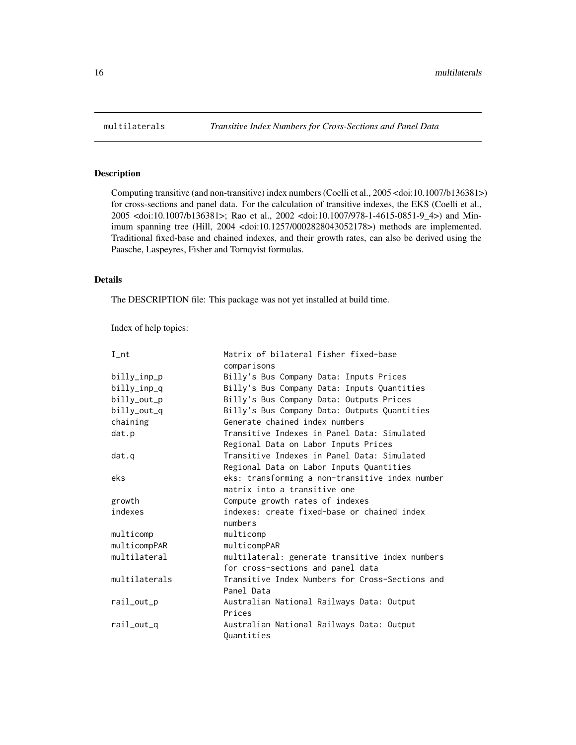Computing transitive (and non-transitive) index numbers (Coelli et al., 2005 <doi:10.1007/b136381>) for cross-sections and panel data. For the calculation of transitive indexes, the EKS (Coelli et al., 2005 <doi:10.1007/b136381>; Rao et al., 2002 <doi:10.1007/978-1-4615-0851-9\_4>) and Minimum spanning tree (Hill, 2004 <doi:10.1257/0002828043052178>) methods are implemented. Traditional fixed-base and chained indexes, and their growth rates, can also be derived using the Paasche, Laspeyres, Fisher and Tornqvist formulas.

### Details

The DESCRIPTION file: This package was not yet installed at build time.

Index of help topics:

| $I_{n}$       | Matrix of bilateral Fisher fixed-base           |
|---------------|-------------------------------------------------|
|               | comparisons                                     |
| billy_inp_p   | Billy's Bus Company Data: Inputs Prices         |
| billy_inp_q   | Billy's Bus Company Data: Inputs Quantities     |
| billy_out_p   | Billy's Bus Company Data: Outputs Prices        |
| billy_out_q   | Billy's Bus Company Data: Outputs Quantities    |
| chaining      | Generate chained index numbers                  |
| dat.p         | Transitive Indexes in Panel Data: Simulated     |
|               | Regional Data on Labor Inputs Prices            |
| dat.q         | Transitive Indexes in Panel Data: Simulated     |
|               | Regional Data on Labor Inputs Quantities        |
| eks           | eks: transforming a non-transitive index number |
|               | matrix into a transitive one                    |
| growth        | Compute growth rates of indexes                 |
| indexes       | indexes: create fixed-base or chained index     |
|               | numbers                                         |
| multicomp     | multicomp                                       |
| multicompPAR  | multicompPAR                                    |
| multilateral  | multilateral: generate transitive index numbers |
|               | for cross-sections and panel data               |
| multilaterals | Transitive Index Numbers for Cross-Sections and |
|               | Panel Data                                      |
| rail_out_p    | Australian National Railways Data: Output       |
|               | Prices                                          |
| rail_out_q    | Australian National Railways Data: Output       |
|               | Ouantities                                      |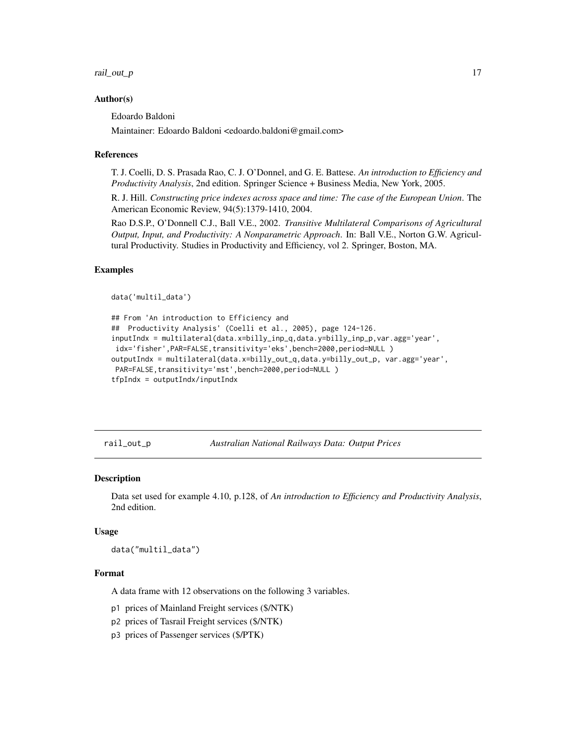<span id="page-16-0"></span>rail\_out\_p 17

### Author(s)

Edoardo Baldoni

Maintainer: Edoardo Baldoni <edoardo.baldoni@gmail.com>

### References

T. J. Coelli, D. S. Prasada Rao, C. J. O'Donnel, and G. E. Battese. *An introduction to Efficiency and Productivity Analysis*, 2nd edition. Springer Science + Business Media, New York, 2005.

R. J. Hill. *Constructing price indexes across space and time: The case of the European Union*. The American Economic Review, 94(5):1379-1410, 2004.

Rao D.S.P., O'Donnell C.J., Ball V.E., 2002. *Transitive Multilateral Comparisons of Agricultural Output, Input, and Productivity: A Nonparametric Approach*. In: Ball V.E., Norton G.W. Agricultural Productivity. Studies in Productivity and Efficiency, vol 2. Springer, Boston, MA.

### Examples

```
data('multil_data')
```

```
## From 'An introduction to Efficiency and
## Productivity Analysis' (Coelli et al., 2005), page 124-126.
inputIndx = multilateral(data.x=billy_inp_q,data.y=billy_inp_p,var.agg='year',
idx='fisher',PAR=FALSE,transitivity='eks',bench=2000,period=NULL )
outputIndx = multilateral(data.x=billy_out_q,data.y=billy_out_p, var.agg='year',
PAR=FALSE, transitivity='mst', bench=2000, period=NULL )
tfpIndx = outputIndx/inputIndx
```
rail\_out\_p *Australian National Railways Data: Output Prices*

#### Description

Data set used for example 4.10, p.128, of *An introduction to Efficiency and Productivity Analysis*, 2nd edition.

#### Usage

data("multil\_data")

#### Format

A data frame with 12 observations on the following 3 variables.

- p1 prices of Mainland Freight services (\$/NTK)
- p2 prices of Tasrail Freight services (\$/NTK)
- p3 prices of Passenger services (\$/PTK)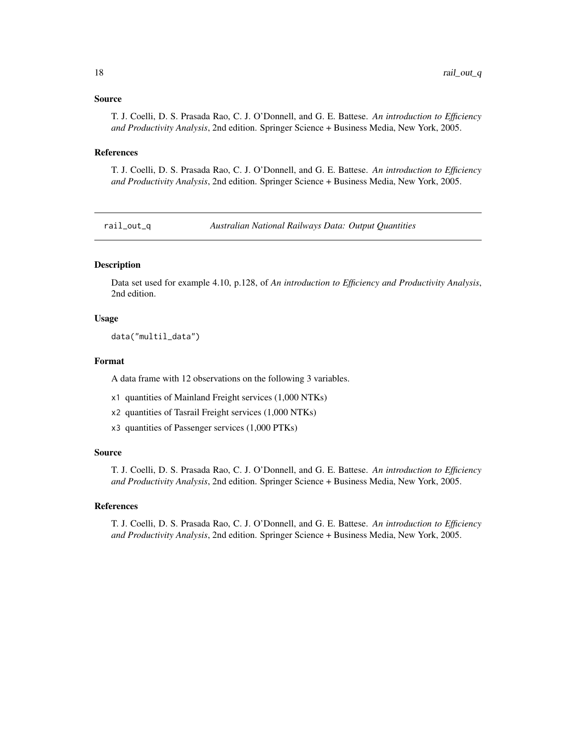### <span id="page-17-0"></span>Source

T. J. Coelli, D. S. Prasada Rao, C. J. O'Donnell, and G. E. Battese. *An introduction to Efficiency and Productivity Analysis*, 2nd edition. Springer Science + Business Media, New York, 2005.

### References

T. J. Coelli, D. S. Prasada Rao, C. J. O'Donnell, and G. E. Battese. *An introduction to Efficiency and Productivity Analysis*, 2nd edition. Springer Science + Business Media, New York, 2005.

rail\_out\_q *Australian National Railways Data: Output Quantities*

### Description

Data set used for example 4.10, p.128, of *An introduction to Efficiency and Productivity Analysis*, 2nd edition.

### Usage

data("multil\_data")

#### Format

A data frame with 12 observations on the following 3 variables.

- x1 quantities of Mainland Freight services (1,000 NTKs)
- x2 quantities of Tasrail Freight services (1,000 NTKs)
- x3 quantities of Passenger services (1,000 PTKs)

### Source

T. J. Coelli, D. S. Prasada Rao, C. J. O'Donnell, and G. E. Battese. *An introduction to Efficiency and Productivity Analysis*, 2nd edition. Springer Science + Business Media, New York, 2005.

### References